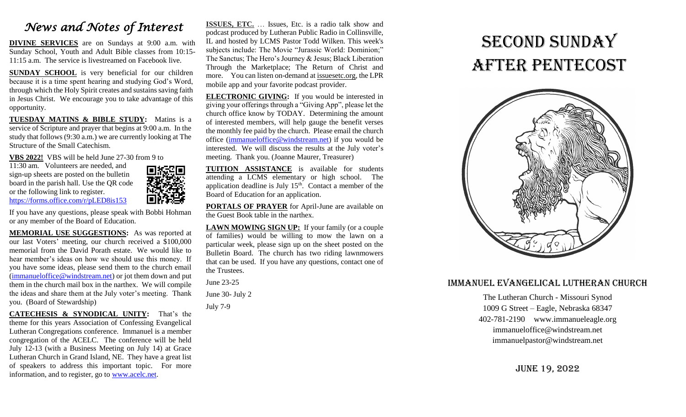### *News and Notes of Interest*

**DIVINE SERVICES** are on Sundays at 9:00 a.m. with Sunday School, Youth and Adult Bible classes from 10:15- 11:15 a.m. The service is livestreamed on Facebook live.

**SUNDAY SCHOOL** is very beneficial for our children because it is a time spent hearing and studying God's Word, through which the Holy Spirit creates and sustains saving faith in Jesus Christ. We encourage you to take advantage of this opportunity.

**TUESDAY MATINS & BIBLE STUDY:** Matins is a service of Scripture and prayer that begins at 9:00 a.m. In the study that follows (9:30 a.m.) we are currently looking at The Structure of the Small Catechism.

**VBS 2022!** VBS will be held June 27-30 from 9 to

11:30 am. Volunteers are needed, and sign-up sheets are posted on the bulletin board in the parish hall. Use the QR code or the following link to register. <https://forms.office.com/r/pLED8is153>



If you have any questions, please speak with Bobbi Hohman or any member of the Board of Education.

**MEMORIAL USE SUGGESTIONS:** As was reported at our last Voters' meeting, our church received a \$100,000 memorial from the David Porath estate. We would like to hear member's ideas on how we should use this money. If you have some ideas, please send them to the church email [\(immanueloffice@windstream.net\)](mailto:immanueloffice@windstream.net) or jot them down and put them in the church mail box in the narthex. We will compile the ideas and share them at the July voter's meeting. Thank you. (Board of Stewardship)

**CATECHESIS & SYNODICAL UNITY:** That's the theme for this years Association of Confessing Evangelical Lutheran Congregations conference. Immanuel is a member congregation of the ACELC. The conference will be held July 12-13 (with a Business Meeting on July 14) at Grace Lutheran Church in Grand Island, NE. They have a great list of speakers to address this important topic. For more information, and to register, go to [www.acelc.net.](http://www.acelc.net/)

**ISSUES, ETC.** … Issues, Etc. is a radio talk show and podcast produced by Lutheran Public Radio in Collinsville, IL and hosted by LCMS Pastor Todd Wilken. This week's subjects include: The Movie "Jurassic World: Dominion;" The Sanctus; The Hero's Journey & Jesus; Black Liberation Through the Marketplace; The Return of Christ and more. You can listen on-demand at [issuesetc.org,](http://r20.rs6.net/tn.jsp?f=001XltHUglAGihDwKg2LCVDVVAySCwUycj-pcDpmmbN6wc1op0BVtNrpeqRkDfWfRAR5HynrRwLD83UqUIEJFPoiyUbb9oq-5NovlALbsX07AGF4oYdP5zeLv9V3GeLojzC1uT1hueIv5zkEmdvlnbsrg==&c=EiyJYE_hckiSK1t9SJM8ARW6CIGIMPcJnNCoGIwRdJwORtvjHVDj6w==&ch=VWkUhocZc5I58mtUGYB_xdpIOWFrqcpl3qqqaxS1LlOA7ypD-yH3kg==) the LPR mobile app and your favorite podcast provider.

**ELECTRONIC GIVING:** If you would be interested in giving your offerings through a "Giving App", please let the church office know by TODAY. Determining the amount of interested members, will help gauge the benefit verses the monthly fee paid by the church. Please email the church office [\(immanueloffice@windstream.net\)](mailto:immanueloffice@windstream.net) if you would be interested. We will discuss the results at the July voter's meeting. Thank you. (Joanne Maurer, Treasurer)

**TUITION ASSISTANCE** is available for students attending a LCMS elementary or high school. The application deadline is July  $15<sup>th</sup>$ . Contact a member of the Board of Education for an application.

**PORTALS OF PRAYER** for April-June are available on the Guest Book table in the narthex.

LAWN MOWING SIGN UP: If your family (or a couple of families) would be willing to mow the lawn on a particular week, please sign up on the sheet posted on the Bulletin Board. The church has two riding lawnmowers that can be used. If you have any questions, contact one of the Trustees.

June 23-25 June 30- July 2

July 7-9

# second Sunday after pentecost



#### Immanuel Evangelical Lutheran Church

The Lutheran Church - Missouri Synod 1009 G Street – Eagle, Nebraska 68347 402-781-2190 www.immanueleagle.org [immanueloffice@windstream.net](mailto:immanueloffice@windstream.net) [immanuelpastor@windstream.net](mailto:immanuelpastor@windstream.net)

June 19, 2022